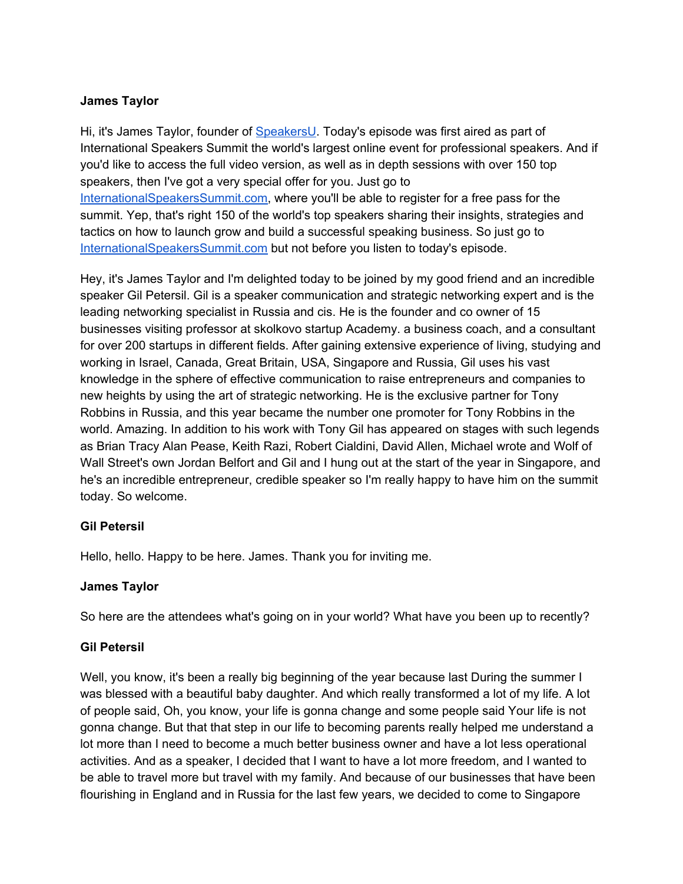#### **James Taylor**

Hi, it's James Taylor, founder of [SpeakersU.](https://speakersu.com/) Today's episode was first aired as part of International Speakers Summit the world's largest online event for professional speakers. And if you'd like to access the full video version, as well as in depth sessions with over 150 top speakers, then I've got a very special offer for you. Just go to [InternationalSpeakersSummit.com](http://internationalspeakerssummit.com/), where you'll be able to register for a free pass for the summit. Yep, that's right 150 of the world's top speakers sharing their insights, strategies and tactics on how to launch grow and build a successful speaking business. So just go t[o](http://internationalspeakerssummit.com/) [InternationalSpeakersSummit.com](http://internationalspeakerssummit.com/) but not before you listen to today's episode.

Hey, it's James Taylor and I'm delighted today to be joined by my good friend and an incredible speaker Gil Petersil. Gil is a speaker communication and strategic networking expert and is the leading networking specialist in Russia and cis. He is the founder and co owner of 15 businesses visiting professor at skolkovo startup Academy. a business coach, and a consultant for over 200 startups in different fields. After gaining extensive experience of living, studying and working in Israel, Canada, Great Britain, USA, Singapore and Russia, Gil uses his vast knowledge in the sphere of effective communication to raise entrepreneurs and companies to new heights by using the art of strategic networking. He is the exclusive partner for Tony Robbins in Russia, and this year became the number one promoter for Tony Robbins in the world. Amazing. In addition to his work with Tony Gil has appeared on stages with such legends as Brian Tracy Alan Pease, Keith Razi, Robert Cialdini, David Allen, Michael wrote and Wolf of Wall Street's own Jordan Belfort and Gil and I hung out at the start of the year in Singapore, and he's an incredible entrepreneur, credible speaker so I'm really happy to have him on the summit today. So welcome.

# **Gil Petersil**

Hello, hello. Happy to be here. James. Thank you for inviting me.

# **James Taylor**

So here are the attendees what's going on in your world? What have you been up to recently?

#### **Gil Petersil**

Well, you know, it's been a really big beginning of the year because last During the summer I was blessed with a beautiful baby daughter. And which really transformed a lot of my life. A lot of people said, Oh, you know, your life is gonna change and some people said Your life is not gonna change. But that that step in our life to becoming parents really helped me understand a lot more than I need to become a much better business owner and have a lot less operational activities. And as a speaker, I decided that I want to have a lot more freedom, and I wanted to be able to travel more but travel with my family. And because of our businesses that have been flourishing in England and in Russia for the last few years, we decided to come to Singapore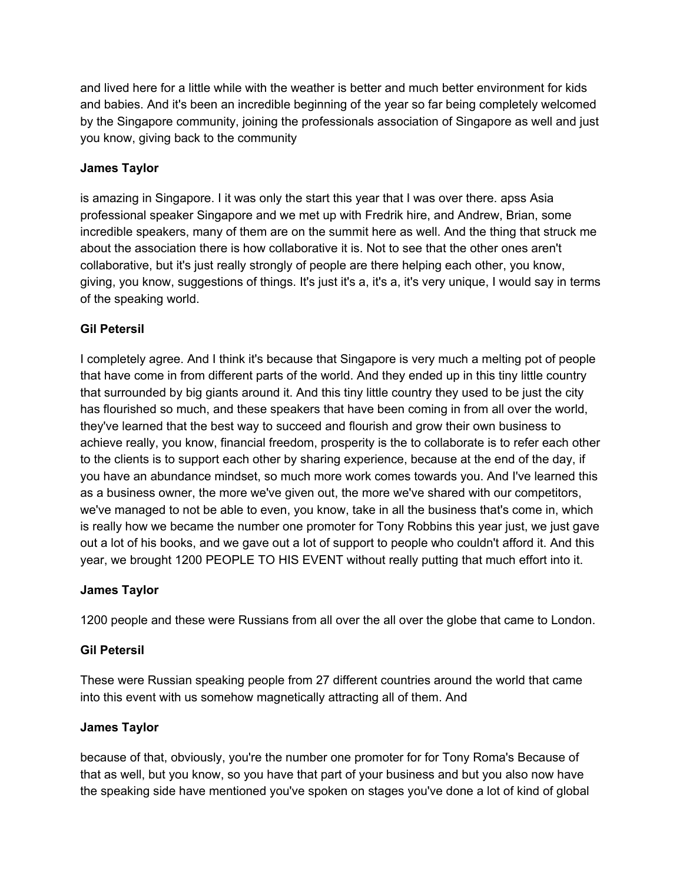and lived here for a little while with the weather is better and much better environment for kids and babies. And it's been an incredible beginning of the year so far being completely welcomed by the Singapore community, joining the professionals association of Singapore as well and just you know, giving back to the community

#### **James Taylor**

is amazing in Singapore. I it was only the start this year that I was over there. apss Asia professional speaker Singapore and we met up with Fredrik hire, and Andrew, Brian, some incredible speakers, many of them are on the summit here as well. And the thing that struck me about the association there is how collaborative it is. Not to see that the other ones aren't collaborative, but it's just really strongly of people are there helping each other, you know, giving, you know, suggestions of things. It's just it's a, it's a, it's very unique, I would say in terms of the speaking world.

# **Gil Petersil**

I completely agree. And I think it's because that Singapore is very much a melting pot of people that have come in from different parts of the world. And they ended up in this tiny little country that surrounded by big giants around it. And this tiny little country they used to be just the city has flourished so much, and these speakers that have been coming in from all over the world, they've learned that the best way to succeed and flourish and grow their own business to achieve really, you know, financial freedom, prosperity is the to collaborate is to refer each other to the clients is to support each other by sharing experience, because at the end of the day, if you have an abundance mindset, so much more work comes towards you. And I've learned this as a business owner, the more we've given out, the more we've shared with our competitors, we've managed to not be able to even, you know, take in all the business that's come in, which is really how we became the number one promoter for Tony Robbins this year just, we just gave out a lot of his books, and we gave out a lot of support to people who couldn't afford it. And this year, we brought 1200 PEOPLE TO HIS EVENT without really putting that much effort into it.

#### **James Taylor**

1200 people and these were Russians from all over the all over the globe that came to London.

# **Gil Petersil**

These were Russian speaking people from 27 different countries around the world that came into this event with us somehow magnetically attracting all of them. And

#### **James Taylor**

because of that, obviously, you're the number one promoter for for Tony Roma's Because of that as well, but you know, so you have that part of your business and but you also now have the speaking side have mentioned you've spoken on stages you've done a lot of kind of global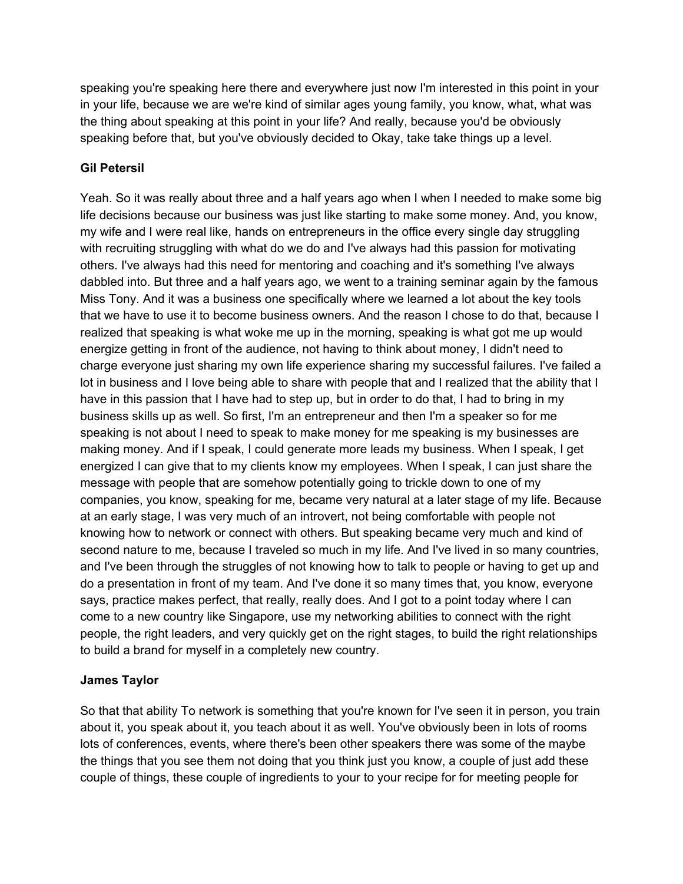speaking you're speaking here there and everywhere just now I'm interested in this point in your in your life, because we are we're kind of similar ages young family, you know, what, what was the thing about speaking at this point in your life? And really, because you'd be obviously speaking before that, but you've obviously decided to Okay, take take things up a level.

# **Gil Petersil**

Yeah. So it was really about three and a half years ago when I when I needed to make some big life decisions because our business was just like starting to make some money. And, you know, my wife and I were real like, hands on entrepreneurs in the office every single day struggling with recruiting struggling with what do we do and I've always had this passion for motivating others. I've always had this need for mentoring and coaching and it's something I've always dabbled into. But three and a half years ago, we went to a training seminar again by the famous Miss Tony. And it was a business one specifically where we learned a lot about the key tools that we have to use it to become business owners. And the reason I chose to do that, because I realized that speaking is what woke me up in the morning, speaking is what got me up would energize getting in front of the audience, not having to think about money, I didn't need to charge everyone just sharing my own life experience sharing my successful failures. I've failed a lot in business and I love being able to share with people that and I realized that the ability that I have in this passion that I have had to step up, but in order to do that, I had to bring in my business skills up as well. So first, I'm an entrepreneur and then I'm a speaker so for me speaking is not about I need to speak to make money for me speaking is my businesses are making money. And if I speak, I could generate more leads my business. When I speak, I get energized I can give that to my clients know my employees. When I speak, I can just share the message with people that are somehow potentially going to trickle down to one of my companies, you know, speaking for me, became very natural at a later stage of my life. Because at an early stage, I was very much of an introvert, not being comfortable with people not knowing how to network or connect with others. But speaking became very much and kind of second nature to me, because I traveled so much in my life. And I've lived in so many countries, and I've been through the struggles of not knowing how to talk to people or having to get up and do a presentation in front of my team. And I've done it so many times that, you know, everyone says, practice makes perfect, that really, really does. And I got to a point today where I can come to a new country like Singapore, use my networking abilities to connect with the right people, the right leaders, and very quickly get on the right stages, to build the right relationships to build a brand for myself in a completely new country.

# **James Taylor**

So that that ability To network is something that you're known for I've seen it in person, you train about it, you speak about it, you teach about it as well. You've obviously been in lots of rooms lots of conferences, events, where there's been other speakers there was some of the maybe the things that you see them not doing that you think just you know, a couple of just add these couple of things, these couple of ingredients to your to your recipe for for meeting people for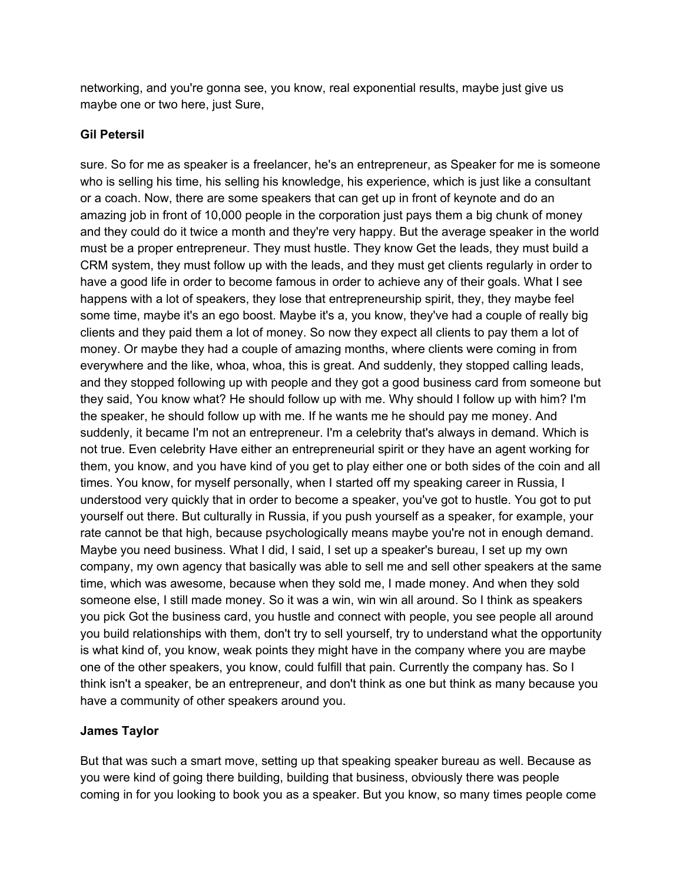networking, and you're gonna see, you know, real exponential results, maybe just give us maybe one or two here, just Sure,

# **Gil Petersil**

sure. So for me as speaker is a freelancer, he's an entrepreneur, as Speaker for me is someone who is selling his time, his selling his knowledge, his experience, which is just like a consultant or a coach. Now, there are some speakers that can get up in front of keynote and do an amazing job in front of 10,000 people in the corporation just pays them a big chunk of money and they could do it twice a month and they're very happy. But the average speaker in the world must be a proper entrepreneur. They must hustle. They know Get the leads, they must build a CRM system, they must follow up with the leads, and they must get clients regularly in order to have a good life in order to become famous in order to achieve any of their goals. What I see happens with a lot of speakers, they lose that entrepreneurship spirit, they, they maybe feel some time, maybe it's an ego boost. Maybe it's a, you know, they've had a couple of really big clients and they paid them a lot of money. So now they expect all clients to pay them a lot of money. Or maybe they had a couple of amazing months, where clients were coming in from everywhere and the like, whoa, whoa, this is great. And suddenly, they stopped calling leads, and they stopped following up with people and they got a good business card from someone but they said, You know what? He should follow up with me. Why should I follow up with him? I'm the speaker, he should follow up with me. If he wants me he should pay me money. And suddenly, it became I'm not an entrepreneur. I'm a celebrity that's always in demand. Which is not true. Even celebrity Have either an entrepreneurial spirit or they have an agent working for them, you know, and you have kind of you get to play either one or both sides of the coin and all times. You know, for myself personally, when I started off my speaking career in Russia, I understood very quickly that in order to become a speaker, you've got to hustle. You got to put yourself out there. But culturally in Russia, if you push yourself as a speaker, for example, your rate cannot be that high, because psychologically means maybe you're not in enough demand. Maybe you need business. What I did, I said, I set up a speaker's bureau, I set up my own company, my own agency that basically was able to sell me and sell other speakers at the same time, which was awesome, because when they sold me, I made money. And when they sold someone else, I still made money. So it was a win, win win all around. So I think as speakers you pick Got the business card, you hustle and connect with people, you see people all around you build relationships with them, don't try to sell yourself, try to understand what the opportunity is what kind of, you know, weak points they might have in the company where you are maybe one of the other speakers, you know, could fulfill that pain. Currently the company has. So I think isn't a speaker, be an entrepreneur, and don't think as one but think as many because you have a community of other speakers around you.

# **James Taylor**

But that was such a smart move, setting up that speaking speaker bureau as well. Because as you were kind of going there building, building that business, obviously there was people coming in for you looking to book you as a speaker. But you know, so many times people come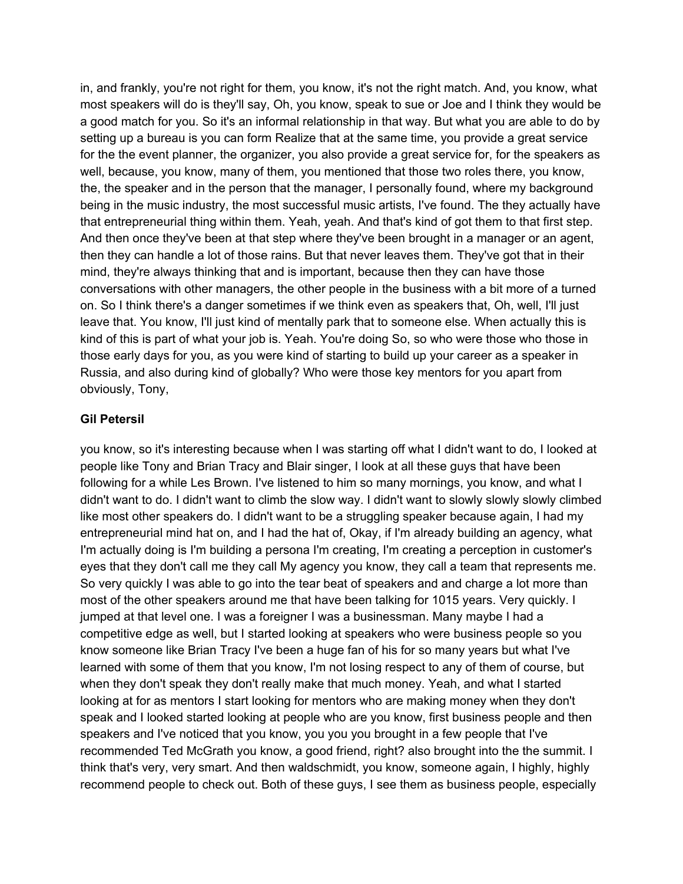in, and frankly, you're not right for them, you know, it's not the right match. And, you know, what most speakers will do is they'll say, Oh, you know, speak to sue or Joe and I think they would be a good match for you. So it's an informal relationship in that way. But what you are able to do by setting up a bureau is you can form Realize that at the same time, you provide a great service for the the event planner, the organizer, you also provide a great service for, for the speakers as well, because, you know, many of them, you mentioned that those two roles there, you know, the, the speaker and in the person that the manager, I personally found, where my background being in the music industry, the most successful music artists, I've found. The they actually have that entrepreneurial thing within them. Yeah, yeah. And that's kind of got them to that first step. And then once they've been at that step where they've been brought in a manager or an agent, then they can handle a lot of those rains. But that never leaves them. They've got that in their mind, they're always thinking that and is important, because then they can have those conversations with other managers, the other people in the business with a bit more of a turned on. So I think there's a danger sometimes if we think even as speakers that, Oh, well, I'll just leave that. You know, I'll just kind of mentally park that to someone else. When actually this is kind of this is part of what your job is. Yeah. You're doing So, so who were those who those in those early days for you, as you were kind of starting to build up your career as a speaker in Russia, and also during kind of globally? Who were those key mentors for you apart from obviously, Tony,

#### **Gil Petersil**

you know, so it's interesting because when I was starting off what I didn't want to do, I looked at people like Tony and Brian Tracy and Blair singer, I look at all these guys that have been following for a while Les Brown. I've listened to him so many mornings, you know, and what I didn't want to do. I didn't want to climb the slow way. I didn't want to slowly slowly slowly climbed like most other speakers do. I didn't want to be a struggling speaker because again, I had my entrepreneurial mind hat on, and I had the hat of, Okay, if I'm already building an agency, what I'm actually doing is I'm building a persona I'm creating, I'm creating a perception in customer's eyes that they don't call me they call My agency you know, they call a team that represents me. So very quickly I was able to go into the tear beat of speakers and and charge a lot more than most of the other speakers around me that have been talking for 1015 years. Very quickly. I jumped at that level one. I was a foreigner I was a businessman. Many maybe I had a competitive edge as well, but I started looking at speakers who were business people so you know someone like Brian Tracy I've been a huge fan of his for so many years but what I've learned with some of them that you know, I'm not losing respect to any of them of course, but when they don't speak they don't really make that much money. Yeah, and what I started looking at for as mentors I start looking for mentors who are making money when they don't speak and I looked started looking at people who are you know, first business people and then speakers and I've noticed that you know, you you you brought in a few people that I've recommended Ted McGrath you know, a good friend, right? also brought into the the summit. I think that's very, very smart. And then waldschmidt, you know, someone again, I highly, highly recommend people to check out. Both of these guys, I see them as business people, especially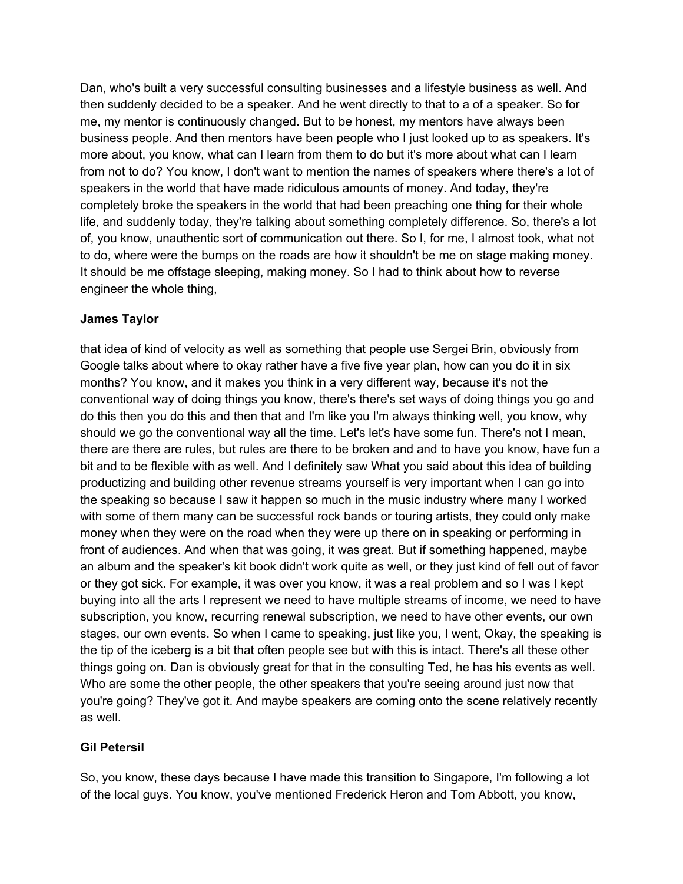Dan, who's built a very successful consulting businesses and a lifestyle business as well. And then suddenly decided to be a speaker. And he went directly to that to a of a speaker. So for me, my mentor is continuously changed. But to be honest, my mentors have always been business people. And then mentors have been people who I just looked up to as speakers. It's more about, you know, what can I learn from them to do but it's more about what can I learn from not to do? You know, I don't want to mention the names of speakers where there's a lot of speakers in the world that have made ridiculous amounts of money. And today, they're completely broke the speakers in the world that had been preaching one thing for their whole life, and suddenly today, they're talking about something completely difference. So, there's a lot of, you know, unauthentic sort of communication out there. So I, for me, I almost took, what not to do, where were the bumps on the roads are how it shouldn't be me on stage making money. It should be me offstage sleeping, making money. So I had to think about how to reverse engineer the whole thing,

#### **James Taylor**

that idea of kind of velocity as well as something that people use Sergei Brin, obviously from Google talks about where to okay rather have a five five year plan, how can you do it in six months? You know, and it makes you think in a very different way, because it's not the conventional way of doing things you know, there's there's set ways of doing things you go and do this then you do this and then that and I'm like you I'm always thinking well, you know, why should we go the conventional way all the time. Let's let's have some fun. There's not I mean, there are there are rules, but rules are there to be broken and and to have you know, have fun a bit and to be flexible with as well. And I definitely saw What you said about this idea of building productizing and building other revenue streams yourself is very important when I can go into the speaking so because I saw it happen so much in the music industry where many I worked with some of them many can be successful rock bands or touring artists, they could only make money when they were on the road when they were up there on in speaking or performing in front of audiences. And when that was going, it was great. But if something happened, maybe an album and the speaker's kit book didn't work quite as well, or they just kind of fell out of favor or they got sick. For example, it was over you know, it was a real problem and so I was I kept buying into all the arts I represent we need to have multiple streams of income, we need to have subscription, you know, recurring renewal subscription, we need to have other events, our own stages, our own events. So when I came to speaking, just like you, I went, Okay, the speaking is the tip of the iceberg is a bit that often people see but with this is intact. There's all these other things going on. Dan is obviously great for that in the consulting Ted, he has his events as well. Who are some the other people, the other speakers that you're seeing around just now that you're going? They've got it. And maybe speakers are coming onto the scene relatively recently as well.

# **Gil Petersil**

So, you know, these days because I have made this transition to Singapore, I'm following a lot of the local guys. You know, you've mentioned Frederick Heron and Tom Abbott, you know,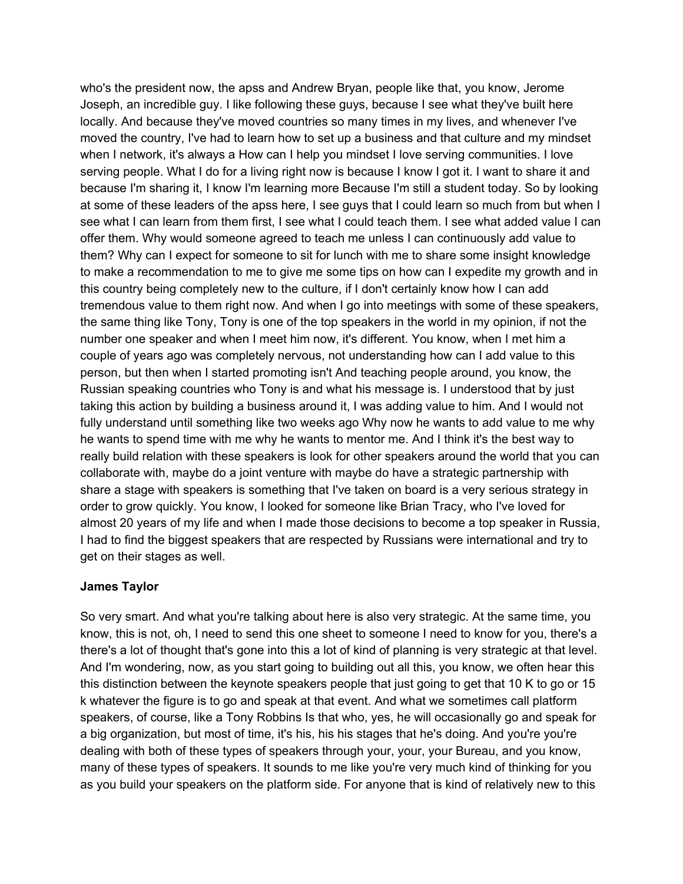who's the president now, the apss and Andrew Bryan, people like that, you know, Jerome Joseph, an incredible guy. I like following these guys, because I see what they've built here locally. And because they've moved countries so many times in my lives, and whenever I've moved the country, I've had to learn how to set up a business and that culture and my mindset when I network, it's always a How can I help you mindset I love serving communities. I love serving people. What I do for a living right now is because I know I got it. I want to share it and because I'm sharing it, I know I'm learning more Because I'm still a student today. So by looking at some of these leaders of the apss here, I see guys that I could learn so much from but when I see what I can learn from them first, I see what I could teach them. I see what added value I can offer them. Why would someone agreed to teach me unless I can continuously add value to them? Why can I expect for someone to sit for lunch with me to share some insight knowledge to make a recommendation to me to give me some tips on how can I expedite my growth and in this country being completely new to the culture, if I don't certainly know how I can add tremendous value to them right now. And when I go into meetings with some of these speakers, the same thing like Tony, Tony is one of the top speakers in the world in my opinion, if not the number one speaker and when I meet him now, it's different. You know, when I met him a couple of years ago was completely nervous, not understanding how can I add value to this person, but then when I started promoting isn't And teaching people around, you know, the Russian speaking countries who Tony is and what his message is. I understood that by just taking this action by building a business around it, I was adding value to him. And I would not fully understand until something like two weeks ago Why now he wants to add value to me why he wants to spend time with me why he wants to mentor me. And I think it's the best way to really build relation with these speakers is look for other speakers around the world that you can collaborate with, maybe do a joint venture with maybe do have a strategic partnership with share a stage with speakers is something that I've taken on board is a very serious strategy in order to grow quickly. You know, I looked for someone like Brian Tracy, who I've loved for almost 20 years of my life and when I made those decisions to become a top speaker in Russia, I had to find the biggest speakers that are respected by Russians were international and try to get on their stages as well.

#### **James Taylor**

So very smart. And what you're talking about here is also very strategic. At the same time, you know, this is not, oh, I need to send this one sheet to someone I need to know for you, there's a there's a lot of thought that's gone into this a lot of kind of planning is very strategic at that level. And I'm wondering, now, as you start going to building out all this, you know, we often hear this this distinction between the keynote speakers people that just going to get that 10 K to go or 15 k whatever the figure is to go and speak at that event. And what we sometimes call platform speakers, of course, like a Tony Robbins Is that who, yes, he will occasionally go and speak for a big organization, but most of time, it's his, his his stages that he's doing. And you're you're dealing with both of these types of speakers through your, your, your Bureau, and you know, many of these types of speakers. It sounds to me like you're very much kind of thinking for you as you build your speakers on the platform side. For anyone that is kind of relatively new to this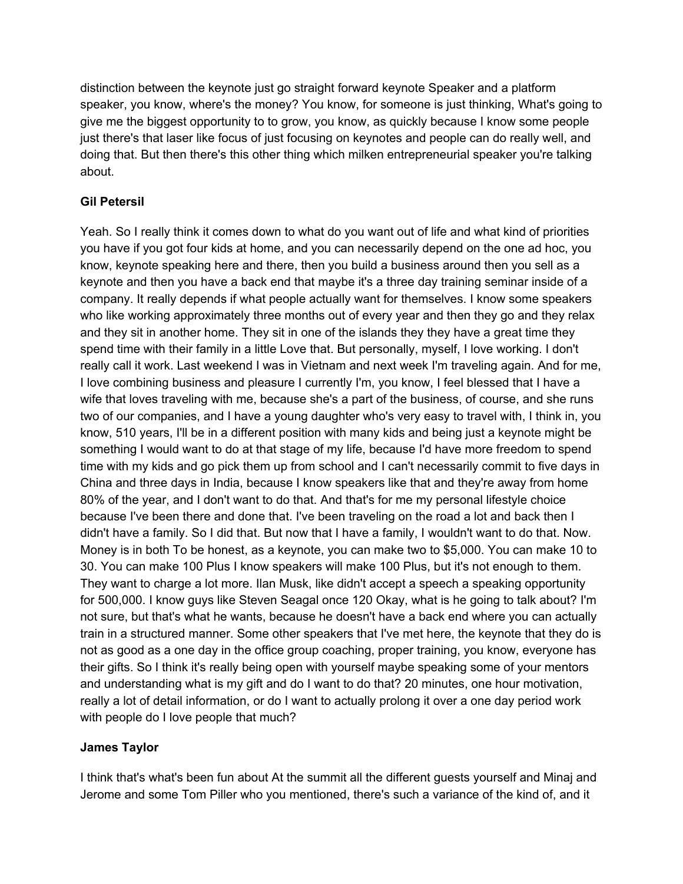distinction between the keynote just go straight forward keynote Speaker and a platform speaker, you know, where's the money? You know, for someone is just thinking, What's going to give me the biggest opportunity to to grow, you know, as quickly because I know some people just there's that laser like focus of just focusing on keynotes and people can do really well, and doing that. But then there's this other thing which milken entrepreneurial speaker you're talking about.

# **Gil Petersil**

Yeah. So I really think it comes down to what do you want out of life and what kind of priorities you have if you got four kids at home, and you can necessarily depend on the one ad hoc, you know, keynote speaking here and there, then you build a business around then you sell as a keynote and then you have a back end that maybe it's a three day training seminar inside of a company. It really depends if what people actually want for themselves. I know some speakers who like working approximately three months out of every year and then they go and they relax and they sit in another home. They sit in one of the islands they they have a great time they spend time with their family in a little Love that. But personally, myself, I love working. I don't really call it work. Last weekend I was in Vietnam and next week I'm traveling again. And for me, I love combining business and pleasure I currently I'm, you know, I feel blessed that I have a wife that loves traveling with me, because she's a part of the business, of course, and she runs two of our companies, and I have a young daughter who's very easy to travel with, I think in, you know, 510 years, I'll be in a different position with many kids and being just a keynote might be something I would want to do at that stage of my life, because I'd have more freedom to spend time with my kids and go pick them up from school and I can't necessarily commit to five days in China and three days in India, because I know speakers like that and they're away from home 80% of the year, and I don't want to do that. And that's for me my personal lifestyle choice because I've been there and done that. I've been traveling on the road a lot and back then I didn't have a family. So I did that. But now that I have a family, I wouldn't want to do that. Now. Money is in both To be honest, as a keynote, you can make two to \$5,000. You can make 10 to 30. You can make 100 Plus I know speakers will make 100 Plus, but it's not enough to them. They want to charge a lot more. Ilan Musk, like didn't accept a speech a speaking opportunity for 500,000. I know guys like Steven Seagal once 120 Okay, what is he going to talk about? I'm not sure, but that's what he wants, because he doesn't have a back end where you can actually train in a structured manner. Some other speakers that I've met here, the keynote that they do is not as good as a one day in the office group coaching, proper training, you know, everyone has their gifts. So I think it's really being open with yourself maybe speaking some of your mentors and understanding what is my gift and do I want to do that? 20 minutes, one hour motivation, really a lot of detail information, or do I want to actually prolong it over a one day period work with people do I love people that much?

# **James Taylor**

I think that's what's been fun about At the summit all the different guests yourself and Minaj and Jerome and some Tom Piller who you mentioned, there's such a variance of the kind of, and it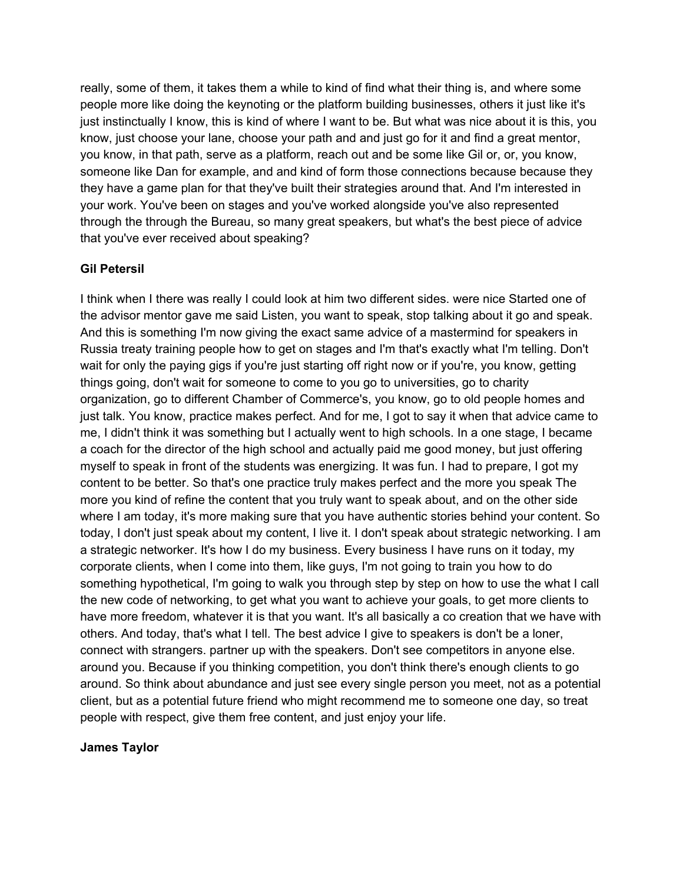really, some of them, it takes them a while to kind of find what their thing is, and where some people more like doing the keynoting or the platform building businesses, others it just like it's just instinctually I know, this is kind of where I want to be. But what was nice about it is this, you know, just choose your lane, choose your path and and just go for it and find a great mentor, you know, in that path, serve as a platform, reach out and be some like Gil or, or, you know, someone like Dan for example, and and kind of form those connections because because they they have a game plan for that they've built their strategies around that. And I'm interested in your work. You've been on stages and you've worked alongside you've also represented through the through the Bureau, so many great speakers, but what's the best piece of advice that you've ever received about speaking?

# **Gil Petersil**

I think when I there was really I could look at him two different sides. were nice Started one of the advisor mentor gave me said Listen, you want to speak, stop talking about it go and speak. And this is something I'm now giving the exact same advice of a mastermind for speakers in Russia treaty training people how to get on stages and I'm that's exactly what I'm telling. Don't wait for only the paying gigs if you're just starting off right now or if you're, you know, getting things going, don't wait for someone to come to you go to universities, go to charity organization, go to different Chamber of Commerce's, you know, go to old people homes and just talk. You know, practice makes perfect. And for me, I got to say it when that advice came to me, I didn't think it was something but I actually went to high schools. In a one stage, I became a coach for the director of the high school and actually paid me good money, but just offering myself to speak in front of the students was energizing. It was fun. I had to prepare, I got my content to be better. So that's one practice truly makes perfect and the more you speak The more you kind of refine the content that you truly want to speak about, and on the other side where I am today, it's more making sure that you have authentic stories behind your content. So today, I don't just speak about my content, I live it. I don't speak about strategic networking. I am a strategic networker. It's how I do my business. Every business I have runs on it today, my corporate clients, when I come into them, like guys, I'm not going to train you how to do something hypothetical, I'm going to walk you through step by step on how to use the what I call the new code of networking, to get what you want to achieve your goals, to get more clients to have more freedom, whatever it is that you want. It's all basically a co creation that we have with others. And today, that's what I tell. The best advice I give to speakers is don't be a loner, connect with strangers. partner up with the speakers. Don't see competitors in anyone else. around you. Because if you thinking competition, you don't think there's enough clients to go around. So think about abundance and just see every single person you meet, not as a potential client, but as a potential future friend who might recommend me to someone one day, so treat people with respect, give them free content, and just enjoy your life.

#### **James Taylor**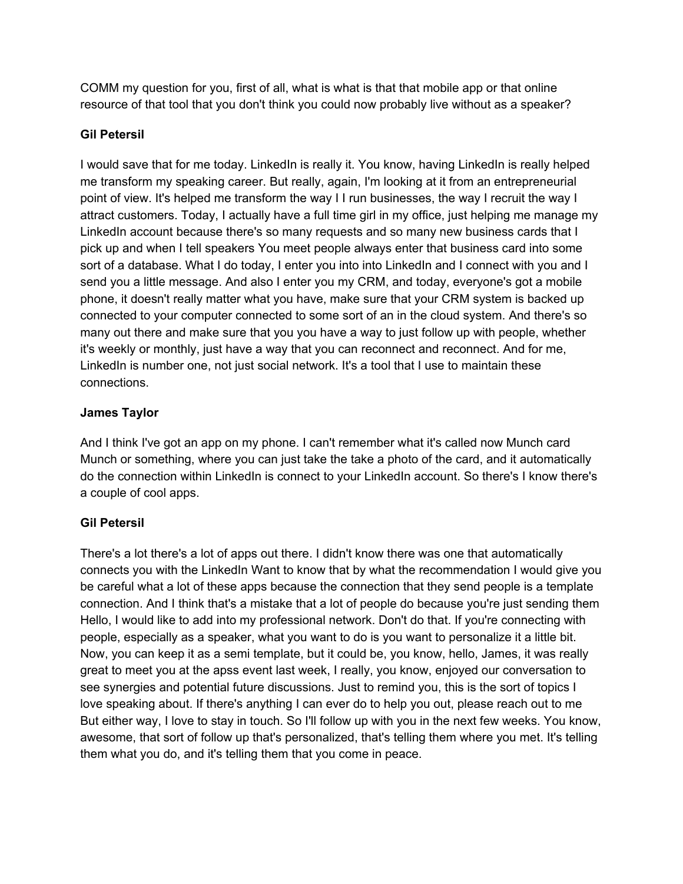COMM my question for you, first of all, what is what is that that mobile app or that online resource of that tool that you don't think you could now probably live without as a speaker?

# **Gil Petersil**

I would save that for me today. LinkedIn is really it. You know, having LinkedIn is really helped me transform my speaking career. But really, again, I'm looking at it from an entrepreneurial point of view. It's helped me transform the way I I run businesses, the way I recruit the way I attract customers. Today, I actually have a full time girl in my office, just helping me manage my LinkedIn account because there's so many requests and so many new business cards that I pick up and when I tell speakers You meet people always enter that business card into some sort of a database. What I do today, I enter you into into LinkedIn and I connect with you and I send you a little message. And also I enter you my CRM, and today, everyone's got a mobile phone, it doesn't really matter what you have, make sure that your CRM system is backed up connected to your computer connected to some sort of an in the cloud system. And there's so many out there and make sure that you you have a way to just follow up with people, whether it's weekly or monthly, just have a way that you can reconnect and reconnect. And for me, LinkedIn is number one, not just social network. It's a tool that I use to maintain these connections.

# **James Taylor**

And I think I've got an app on my phone. I can't remember what it's called now Munch card Munch or something, where you can just take the take a photo of the card, and it automatically do the connection within LinkedIn is connect to your LinkedIn account. So there's I know there's a couple of cool apps.

# **Gil Petersil**

There's a lot there's a lot of apps out there. I didn't know there was one that automatically connects you with the LinkedIn Want to know that by what the recommendation I would give you be careful what a lot of these apps because the connection that they send people is a template connection. And I think that's a mistake that a lot of people do because you're just sending them Hello, I would like to add into my professional network. Don't do that. If you're connecting with people, especially as a speaker, what you want to do is you want to personalize it a little bit. Now, you can keep it as a semi template, but it could be, you know, hello, James, it was really great to meet you at the apss event last week, I really, you know, enjoyed our conversation to see synergies and potential future discussions. Just to remind you, this is the sort of topics I love speaking about. If there's anything I can ever do to help you out, please reach out to me But either way, I love to stay in touch. So I'll follow up with you in the next few weeks. You know, awesome, that sort of follow up that's personalized, that's telling them where you met. It's telling them what you do, and it's telling them that you come in peace.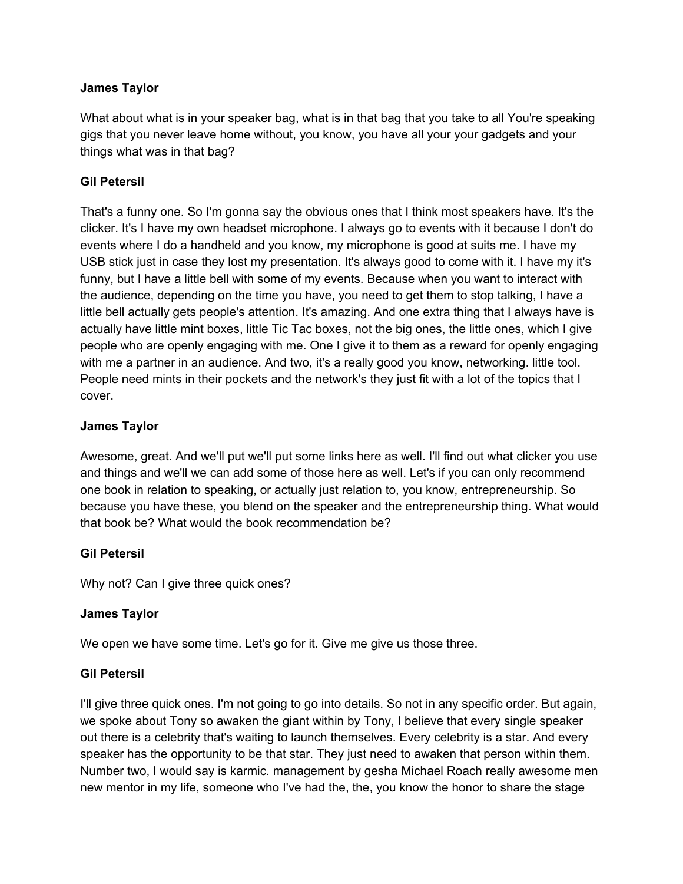#### **James Taylor**

What about what is in your speaker bag, what is in that bag that you take to all You're speaking gigs that you never leave home without, you know, you have all your your gadgets and your things what was in that bag?

#### **Gil Petersil**

That's a funny one. So I'm gonna say the obvious ones that I think most speakers have. It's the clicker. It's I have my own headset microphone. I always go to events with it because I don't do events where I do a handheld and you know, my microphone is good at suits me. I have my USB stick just in case they lost my presentation. It's always good to come with it. I have my it's funny, but I have a little bell with some of my events. Because when you want to interact with the audience, depending on the time you have, you need to get them to stop talking, I have a little bell actually gets people's attention. It's amazing. And one extra thing that I always have is actually have little mint boxes, little Tic Tac boxes, not the big ones, the little ones, which I give people who are openly engaging with me. One I give it to them as a reward for openly engaging with me a partner in an audience. And two, it's a really good you know, networking. little tool. People need mints in their pockets and the network's they just fit with a lot of the topics that I cover.

#### **James Taylor**

Awesome, great. And we'll put we'll put some links here as well. I'll find out what clicker you use and things and we'll we can add some of those here as well. Let's if you can only recommend one book in relation to speaking, or actually just relation to, you know, entrepreneurship. So because you have these, you blend on the speaker and the entrepreneurship thing. What would that book be? What would the book recommendation be?

# **Gil Petersil**

Why not? Can I give three quick ones?

#### **James Taylor**

We open we have some time. Let's go for it. Give me give us those three.

#### **Gil Petersil**

I'll give three quick ones. I'm not going to go into details. So not in any specific order. But again, we spoke about Tony so awaken the giant within by Tony, I believe that every single speaker out there is a celebrity that's waiting to launch themselves. Every celebrity is a star. And every speaker has the opportunity to be that star. They just need to awaken that person within them. Number two, I would say is karmic. management by gesha Michael Roach really awesome men new mentor in my life, someone who I've had the, the, you know the honor to share the stage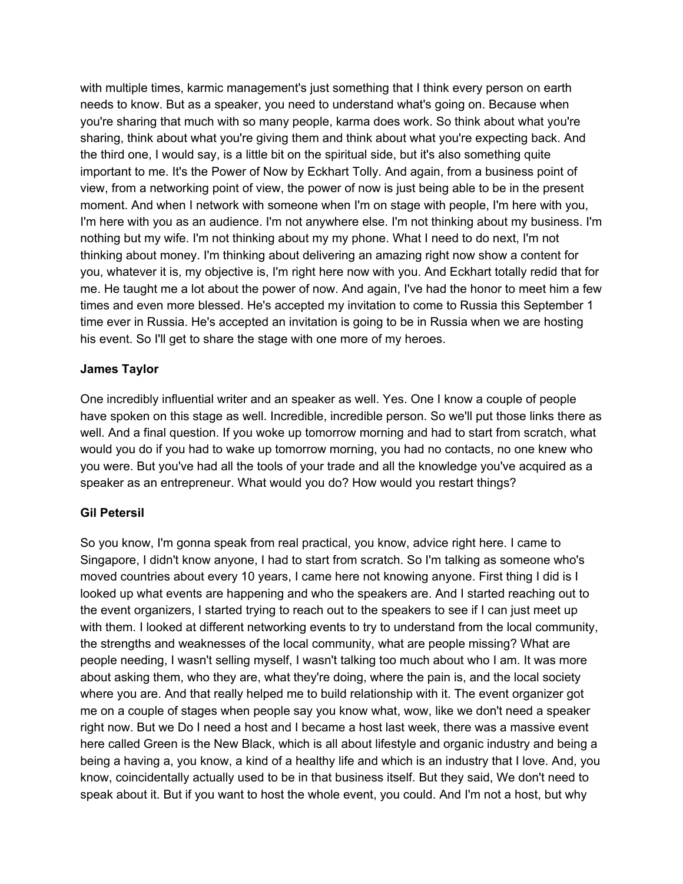with multiple times, karmic management's just something that I think every person on earth needs to know. But as a speaker, you need to understand what's going on. Because when you're sharing that much with so many people, karma does work. So think about what you're sharing, think about what you're giving them and think about what you're expecting back. And the third one, I would say, is a little bit on the spiritual side, but it's also something quite important to me. It's the Power of Now by Eckhart Tolly. And again, from a business point of view, from a networking point of view, the power of now is just being able to be in the present moment. And when I network with someone when I'm on stage with people, I'm here with you, I'm here with you as an audience. I'm not anywhere else. I'm not thinking about my business. I'm nothing but my wife. I'm not thinking about my my phone. What I need to do next, I'm not thinking about money. I'm thinking about delivering an amazing right now show a content for you, whatever it is, my objective is, I'm right here now with you. And Eckhart totally redid that for me. He taught me a lot about the power of now. And again, I've had the honor to meet him a few times and even more blessed. He's accepted my invitation to come to Russia this September 1 time ever in Russia. He's accepted an invitation is going to be in Russia when we are hosting his event. So I'll get to share the stage with one more of my heroes.

#### **James Taylor**

One incredibly influential writer and an speaker as well. Yes. One I know a couple of people have spoken on this stage as well. Incredible, incredible person. So we'll put those links there as well. And a final question. If you woke up tomorrow morning and had to start from scratch, what would you do if you had to wake up tomorrow morning, you had no contacts, no one knew who you were. But you've had all the tools of your trade and all the knowledge you've acquired as a speaker as an entrepreneur. What would you do? How would you restart things?

# **Gil Petersil**

So you know, I'm gonna speak from real practical, you know, advice right here. I came to Singapore, I didn't know anyone, I had to start from scratch. So I'm talking as someone who's moved countries about every 10 years, I came here not knowing anyone. First thing I did is I looked up what events are happening and who the speakers are. And I started reaching out to the event organizers, I started trying to reach out to the speakers to see if I can just meet up with them. I looked at different networking events to try to understand from the local community, the strengths and weaknesses of the local community, what are people missing? What are people needing, I wasn't selling myself, I wasn't talking too much about who I am. It was more about asking them, who they are, what they're doing, where the pain is, and the local society where you are. And that really helped me to build relationship with it. The event organizer got me on a couple of stages when people say you know what, wow, like we don't need a speaker right now. But we Do I need a host and I became a host last week, there was a massive event here called Green is the New Black, which is all about lifestyle and organic industry and being a being a having a, you know, a kind of a healthy life and which is an industry that I love. And, you know, coincidentally actually used to be in that business itself. But they said, We don't need to speak about it. But if you want to host the whole event, you could. And I'm not a host, but why